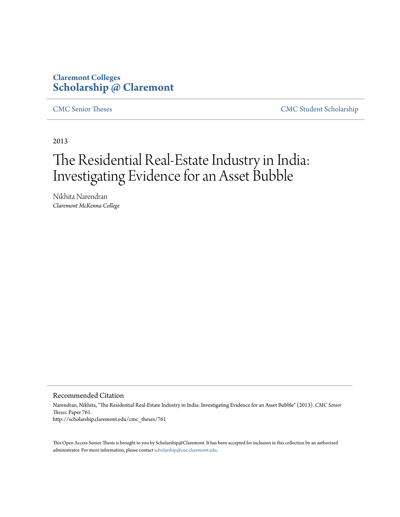# **Claremont Colleges [Scholarship @ Claremont](http://scholarship.claremont.edu)**

[CMC Senior Theses](http://scholarship.claremont.edu/cmc_theses) [CMC Student Scholarship](http://scholarship.claremont.edu/cmc_student)

2013

# The Residential Real-Estate Industry in India: Investigating Evidence for an Asset Bubble

Nikhita Narendran *Claremont McKenna College*

Recommended Citation

Narendran, Nikhita, "The Residential Real-Estate Industry in India: Investigating Evidence for an Asset Bubble" (2013). *CMC Senior Theses.* Paper 761. http://scholarship.claremont.edu/cmc\_theses/761

This Open Access Senior Thesis is brought to you by Scholarship@Claremont. It has been accepted for inclusion in this collection by an authorized administrator. For more information, please contact [scholarship@cuc.claremont.edu.](mailto:scholarship@cuc.claremont.edu)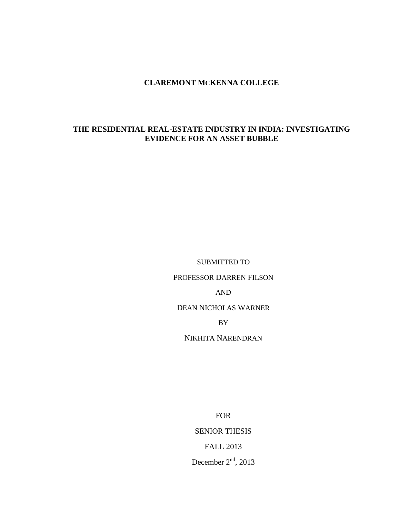## **CLAREMONT MCKENNA COLLEGE**

## **THE RESIDENTIAL REAL-ESTATE INDUSTRY IN INDIA: INVESTIGATING EVIDENCE FOR AN ASSET BUBBLE**

SUBMITTED TO

PROFESSOR DARREN FILSON

AND

DEAN NICHOLAS WARNER

BY

NIKHITA NARENDRAN

FOR SENIOR THESIS FALL 2013 December  $2<sup>nd</sup>$ , 2013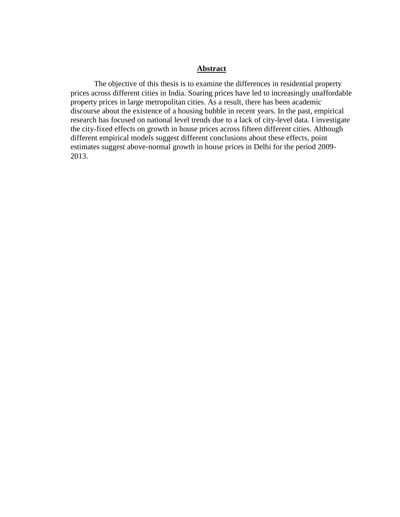## **Abstract**

The objective of this thesis is to examine the differences in residential property prices across different cities in India. Soaring prices have led to increasingly unaffordable property prices in large metropolitan cities. As a result, there has been academic discourse about the existence of a housing bubble in recent years. In the past, empirical research has focused on national level trends due to a lack of city-level data. I investigate the city-fixed effects on growth in house prices across fifteen different cities. Although different empirical models suggest different conclusions about these effects, point estimates suggest above-normal growth in house prices in Delhi for the period 2009- 2013.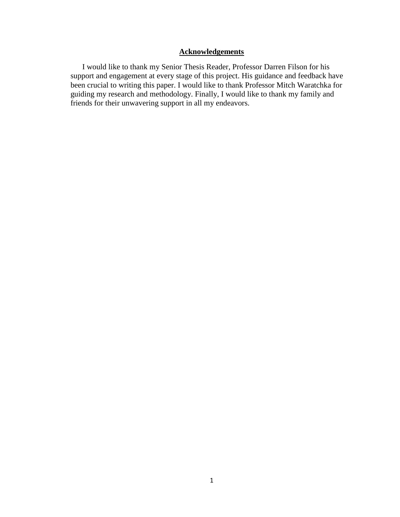# **Acknowledgements**

I would like to thank my Senior Thesis Reader, Professor Darren Filson for his support and engagement at every stage of this project. His guidance and feedback have been crucial to writing this paper. I would like to thank Professor Mitch Waratchka for guiding my research and methodology. Finally, I would like to thank my family and friends for their unwavering support in all my endeavors.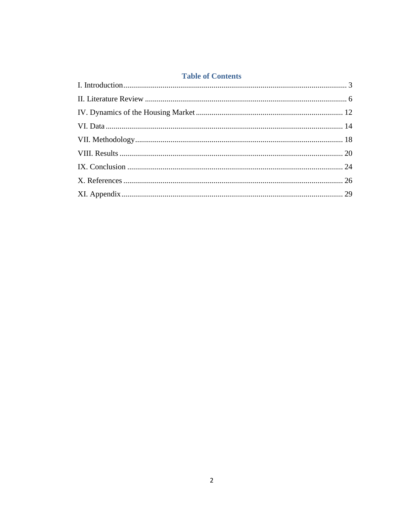## **Table of Contents**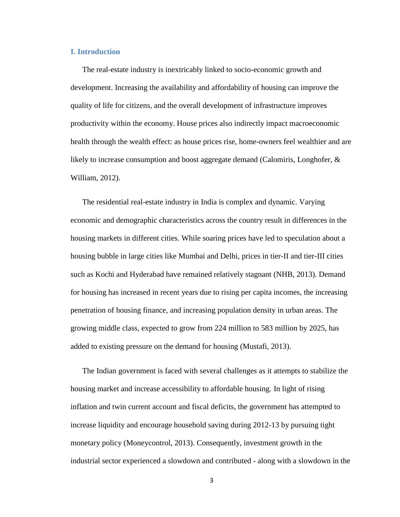## <span id="page-5-0"></span>**I. Introduction**

The real-estate industry is inextricably linked to socio-economic growth and development. Increasing the availability and affordability of housing can improve the quality of life for citizens, and the overall development of infrastructure improves productivity within the economy. House prices also indirectly impact macroeconomic health through the wealth effect: as house prices rise, home-owners feel wealthier and are likely to increase consumption and boost aggregate demand (Calomiris, Longhofer, & William, 2012).

The residential real-estate industry in India is complex and dynamic. Varying economic and demographic characteristics across the country result in differences in the housing markets in different cities. While soaring prices have led to speculation about a housing bubble in large cities like Mumbai and Delhi, prices in tier-II and tier-III cities such as Kochi and Hyderabad have remained relatively stagnant (NHB, 2013). Demand for housing has increased in recent years due to rising per capita incomes, the increasing penetration of housing finance, and increasing population density in urban areas. The growing middle class, expected to grow from 224 million to 583 million by 2025, has added to existing pressure on the demand for housing (Mustafi, 2013).

The Indian government is faced with several challenges as it attempts to stabilize the housing market and increase accessibility to affordable housing. In light of rising inflation and twin current account and fiscal deficits, the government has attempted to increase liquidity and encourage household saving during 2012-13 by pursuing tight monetary policy (Moneycontrol, 2013). Consequently, investment growth in the industrial sector experienced a slowdown and contributed - along with a slowdown in the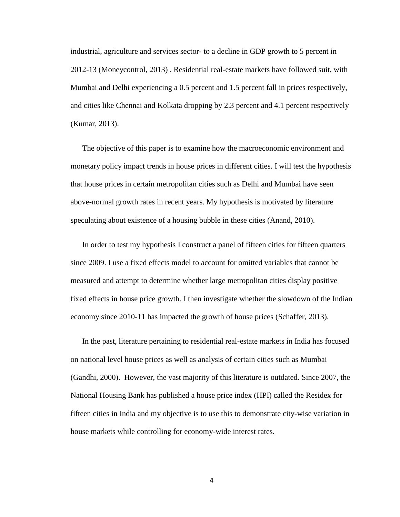industrial, agriculture and services sector- to a decline in GDP growth to 5 percent in 2012-13 (Moneycontrol, 2013) . Residential real-estate markets have followed suit, with Mumbai and Delhi experiencing a 0.5 percent and 1.5 percent fall in prices respectively, and cities like Chennai and Kolkata dropping by 2.3 percent and 4.1 percent respectively (Kumar, 2013).

The objective of this paper is to examine how the macroeconomic environment and monetary policy impact trends in house prices in different cities. I will test the hypothesis that house prices in certain metropolitan cities such as Delhi and Mumbai have seen above-normal growth rates in recent years. My hypothesis is motivated by literature speculating about existence of a housing bubble in these cities (Anand, 2010).

In order to test my hypothesis I construct a panel of fifteen cities for fifteen quarters since 2009. I use a fixed effects model to account for omitted variables that cannot be measured and attempt to determine whether large metropolitan cities display positive fixed effects in house price growth. I then investigate whether the slowdown of the Indian economy since 2010-11 has impacted the growth of house prices (Schaffer, 2013).

In the past, literature pertaining to residential real-estate markets in India has focused on national level house prices as well as analysis of certain cities such as Mumbai (Gandhi, 2000). However, the vast majority of this literature is outdated. Since 2007, the National Housing Bank has published a house price index (HPI) called the Residex for fifteen cities in India and my objective is to use this to demonstrate city-wise variation in house markets while controlling for economy-wide interest rates.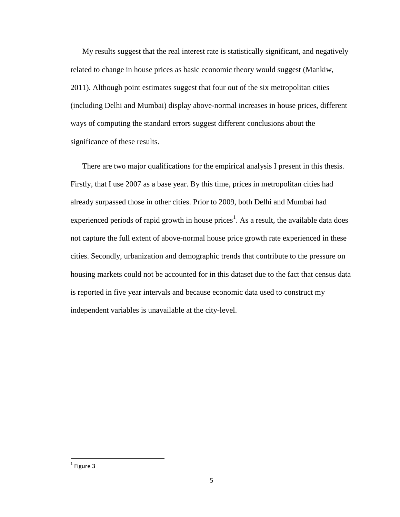My results suggest that the real interest rate is statistically significant, and negatively related to change in house prices as basic economic theory would suggest (Mankiw, 2011). Although point estimates suggest that four out of the six metropolitan cities (including Delhi and Mumbai) display above-normal increases in house prices, different ways of computing the standard errors suggest different conclusions about the significance of these results.

There are two major qualifications for the empirical analysis I present in this thesis. Firstly, that I use 2007 as a base year. By this time, prices in metropolitan cities had already surpassed those in other cities. Prior to 2009, both Delhi and Mumbai had experienced periods of rapid growth in house prices<sup>1</sup>. As a result, the available data does not capture the full extent of above-normal house price growth rate experienced in these cities. Secondly, urbanization and demographic trends that contribute to the pressure on housing markets could not be accounted for in this dataset due to the fact that census data is reported in five year intervals and because economic data used to construct my independent variables is unavailable at the city-level.

 $\overline{\phantom{a}}$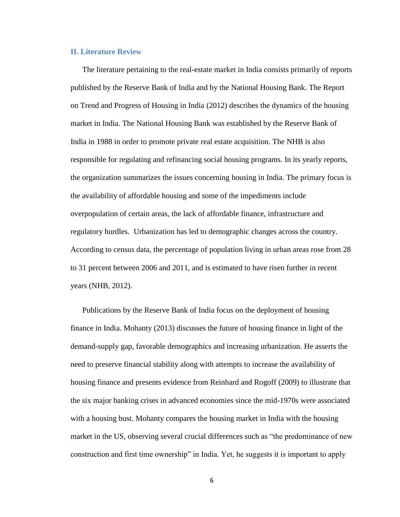## <span id="page-8-0"></span>**II. Literature Review**

The literature pertaining to the real-estate market in India consists primarily of reports published by the Reserve Bank of India and by the National Housing Bank. The Report on Trend and Progress of Housing in India (2012) describes the dynamics of the housing market in India. The National Housing Bank was established by the Reserve Bank of India in 1988 in order to promote private real estate acquisition. The NHB is also responsible for regulating and refinancing social housing programs. In its yearly reports, the organization summarizes the issues concerning housing in India. The primary focus is the availability of affordable housing and some of the impediments include overpopulation of certain areas, the lack of affordable finance, infrastructure and regulatory hurdles. Urbanization has led to demographic changes across the country. According to census data, the percentage of population living in urban areas rose from 28 to 31 percent between 2006 and 2011, and is estimated to have risen further in recent years (NHB, 2012).

Publications by the Reserve Bank of India focus on the deployment of housing finance in India. Mohanty (2013) discusses the future of housing finance in light of the demand-supply gap, favorable demographics and increasing urbanization. He asserts the need to preserve financial stability along with attempts to increase the availability of housing finance and presents evidence from Reinhard and Rogoff (2009) to illustrate that the six major banking crises in advanced economies since the mid-1970s were associated with a housing bust. Mohanty compares the housing market in India with the housing market in the US, observing several crucial differences such as "the predominance of new construction and first time ownership" in India. Yet, he suggests it is important to apply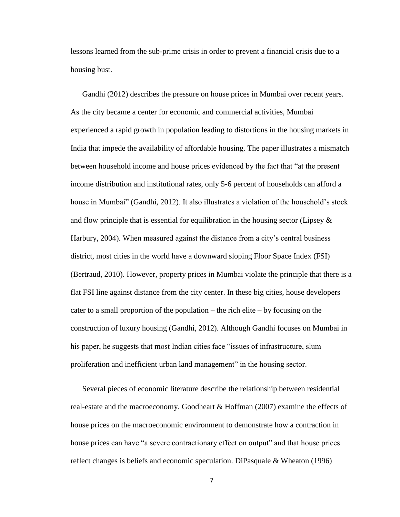lessons learned from the sub-prime crisis in order to prevent a financial crisis due to a housing bust.

Gandhi (2012) describes the pressure on house prices in Mumbai over recent years. As the city became a center for economic and commercial activities, Mumbai experienced a rapid growth in population leading to distortions in the housing markets in India that impede the availability of affordable housing. The paper illustrates a mismatch between household income and house prices evidenced by the fact that "at the present income distribution and institutional rates, only 5-6 percent of households can afford a house in Mumbai" (Gandhi, 2012). It also illustrates a violation of the household's stock and flow principle that is essential for equilibration in the housing sector (Lipsey  $\&$ Harbury, 2004). When measured against the distance from a city's central business district, most cities in the world have a downward sloping Floor Space Index (FSI) (Bertraud, 2010). However, property prices in Mumbai violate the principle that there is a flat FSI line against distance from the city center. In these big cities, house developers cater to a small proportion of the population – the rich elite – by focusing on the construction of luxury housing (Gandhi, 2012). Although Gandhi focuses on Mumbai in his paper, he suggests that most Indian cities face "issues of infrastructure, slum proliferation and inefficient urban land management" in the housing sector.

Several pieces of economic literature describe the relationship between residential real-estate and the macroeconomy. Goodheart & Hoffman (2007) examine the effects of house prices on the macroeconomic environment to demonstrate how a contraction in house prices can have "a severe contractionary effect on output" and that house prices reflect changes is beliefs and economic speculation. DiPasquale & Wheaton (1996)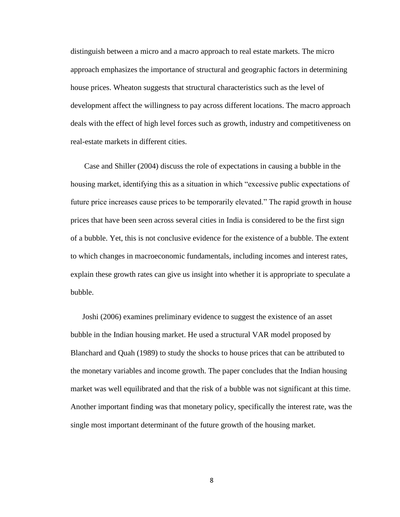distinguish between a micro and a macro approach to real estate markets. The micro approach emphasizes the importance of structural and geographic factors in determining house prices. Wheaton suggests that structural characteristics such as the level of development affect the willingness to pay across different locations. The macro approach deals with the effect of high level forces such as growth, industry and competitiveness on real-estate markets in different cities.

Case and Shiller (2004) discuss the role of expectations in causing a bubble in the housing market, identifying this as a situation in which "excessive public expectations of future price increases cause prices to be temporarily elevated." The rapid growth in house prices that have been seen across several cities in India is considered to be the first sign of a bubble. Yet, this is not conclusive evidence for the existence of a bubble. The extent to which changes in macroeconomic fundamentals, including incomes and interest rates, explain these growth rates can give us insight into whether it is appropriate to speculate a bubble.

Joshi (2006) examines preliminary evidence to suggest the existence of an asset bubble in the Indian housing market. He used a structural VAR model proposed by Blanchard and Quah (1989) to study the shocks to house prices that can be attributed to the monetary variables and income growth. The paper concludes that the Indian housing market was well equilibrated and that the risk of a bubble was not significant at this time. Another important finding was that monetary policy, specifically the interest rate, was the single most important determinant of the future growth of the housing market.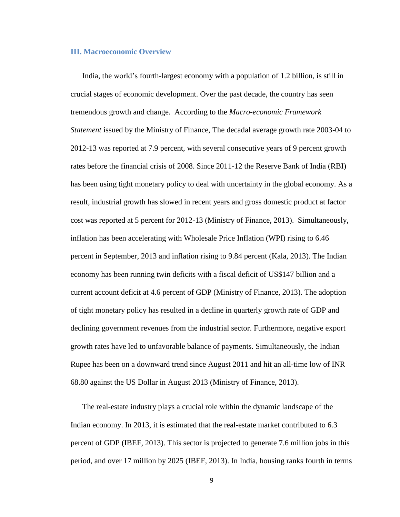#### **III. Macroeconomic Overview**

India, the world's fourth-largest economy with a population of 1.2 billion, is still in crucial stages of economic development. Over the past decade, the country has seen tremendous growth and change. According to the *Macro-economic Framework Statement* issued by the Ministry of Finance, The decadal average growth rate 2003-04 to 2012-13 was reported at 7.9 percent, with several consecutive years of 9 percent growth rates before the financial crisis of 2008. Since 2011-12 the Reserve Bank of India (RBI) has been using tight monetary policy to deal with uncertainty in the global economy. As a result, industrial growth has slowed in recent years and gross domestic product at factor cost was reported at 5 percent for 2012-13 (Ministry of Finance, 2013). Simultaneously, inflation has been accelerating with Wholesale Price Inflation (WPI) rising to 6.46 percent in September, 2013 and inflation rising to 9.84 percent (Kala, 2013). The Indian economy has been running twin deficits with a fiscal deficit of US\$147 billion and a current account deficit at 4.6 percent of GDP (Ministry of Finance, 2013). The adoption of tight monetary policy has resulted in a decline in quarterly growth rate of GDP and declining government revenues from the industrial sector. Furthermore, negative export growth rates have led to unfavorable balance of payments. Simultaneously, the Indian Rupee has been on a downward trend since August 2011 and hit an all-time low of INR 68.80 against the US Dollar in August 2013 (Ministry of Finance, 2013).

The real-estate industry plays a crucial role within the dynamic landscape of the Indian economy. In 2013, it is estimated that the real-estate market contributed to 6.3 percent of GDP (IBEF, 2013). This sector is projected to generate 7.6 million jobs in this period, and over 17 million by 2025 (IBEF, 2013). In India, housing ranks fourth in terms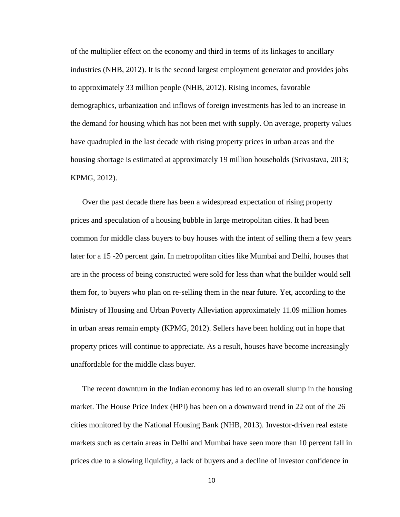of the multiplier effect on the economy and third in terms of its linkages to ancillary industries (NHB, 2012). It is the second largest employment generator and provides jobs to approximately 33 million people (NHB, 2012). Rising incomes, favorable demographics, urbanization and inflows of foreign investments has led to an increase in the demand for housing which has not been met with supply. On average, property values have quadrupled in the last decade with rising property prices in urban areas and the housing shortage is estimated at approximately 19 million households (Srivastava, 2013; KPMG, 2012).

Over the past decade there has been a widespread expectation of rising property prices and speculation of a housing bubble in large metropolitan cities. It had been common for middle class buyers to buy houses with the intent of selling them a few years later for a 15 -20 percent gain. In metropolitan cities like Mumbai and Delhi, houses that are in the process of being constructed were sold for less than what the builder would sell them for, to buyers who plan on re-selling them in the near future. Yet, according to the Ministry of Housing and Urban Poverty Alleviation approximately 11.09 million homes in urban areas remain empty (KPMG, 2012). Sellers have been holding out in hope that property prices will continue to appreciate. As a result, houses have become increasingly unaffordable for the middle class buyer.

The recent downturn in the Indian economy has led to an overall slump in the housing market. The House Price Index (HPI) has been on a downward trend in 22 out of the 26 cities monitored by the National Housing Bank (NHB, 2013). Investor-driven real estate markets such as certain areas in Delhi and Mumbai have seen more than 10 percent fall in prices due to a slowing liquidity, a lack of buyers and a decline of investor confidence in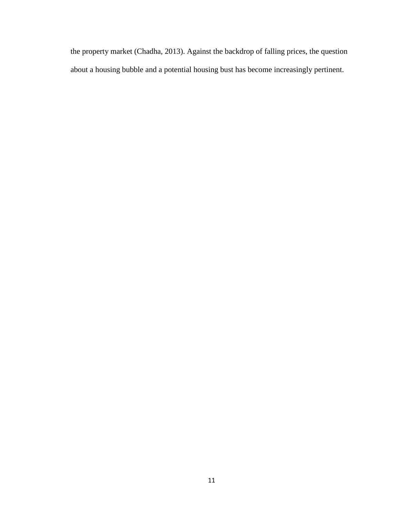the property market (Chadha, 2013). Against the backdrop of falling prices, the question about a housing bubble and a potential housing bust has become increasingly pertinent.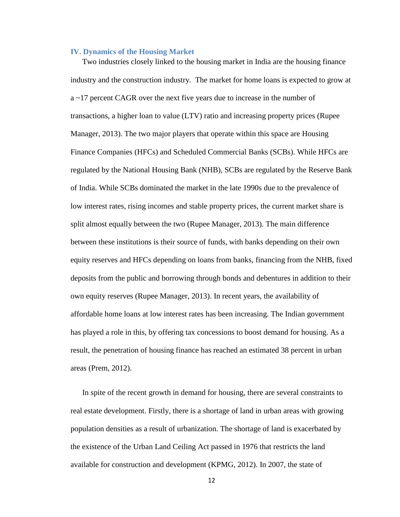## <span id="page-14-0"></span>**IV. Dynamics of the Housing Market**

Two industries closely linked to the housing market in India are the housing finance industry and the construction industry. The market for home loans is expected to grow at a ~17 percent CAGR over the next five years due to increase in the number of transactions, a higher loan to value (LTV) ratio and increasing property prices (Rupee Manager, 2013). The two major players that operate within this space are Housing Finance Companies (HFCs) and Scheduled Commercial Banks (SCBs). While HFCs are regulated by the National Housing Bank (NHB), SCBs are regulated by the Reserve Bank of India. While SCBs dominated the market in the late 1990s due to the prevalence of low interest rates, rising incomes and stable property prices, the current market share is split almost equally between the two (Rupee Manager, 2013). The main difference between these institutions is their source of funds, with banks depending on their own equity reserves and HFCs depending on loans from banks, financing from the NHB, fixed deposits from the public and borrowing through bonds and debentures in addition to their own equity reserves (Rupee Manager, 2013). In recent years, the availability of affordable home loans at low interest rates has been increasing. The Indian government has played a role in this, by offering tax concessions to boost demand for housing. As a result, the penetration of housing finance has reached an estimated 38 percent in urban areas (Prem, 2012).

In spite of the recent growth in demand for housing, there are several constraints to real estate development. Firstly, there is a shortage of land in urban areas with growing population densities as a result of urbanization. The shortage of land is exacerbated by the existence of the Urban Land Ceiling Act passed in 1976 that restricts the land available for construction and development (KPMG, 2012). In 2007, the state of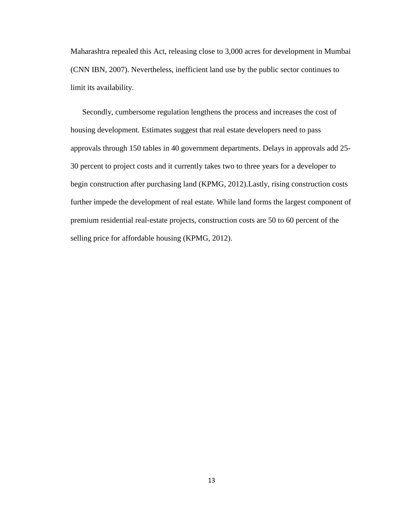Maharashtra repealed this Act, releasing close to 3,000 acres for development in Mumbai (CNN IBN, 2007). Nevertheless, inefficient land use by the public sector continues to limit its availability.

Secondly, cumbersome regulation lengthens the process and increases the cost of housing development. Estimates suggest that real estate developers need to pass approvals through 150 tables in 40 government departments. Delays in approvals add 25- 30 percent to project costs and it currently takes two to three years for a developer to begin construction after purchasing land (KPMG, 2012).Lastly, rising construction costs further impede the development of real estate. While land forms the largest component of premium residential real-estate projects, construction costs are 50 to 60 percent of the selling price for affordable housing (KPMG, 2012).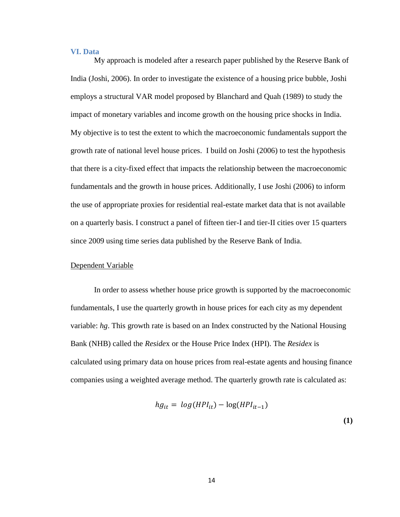## <span id="page-16-0"></span>**VI. Data**

My approach is modeled after a research paper published by the Reserve Bank of India (Joshi, 2006). In order to investigate the existence of a housing price bubble, Joshi employs a structural VAR model proposed by Blanchard and Quah (1989) to study the impact of monetary variables and income growth on the housing price shocks in India. My objective is to test the extent to which the macroeconomic fundamentals support the growth rate of national level house prices. I build on Joshi (2006) to test the hypothesis that there is a city-fixed effect that impacts the relationship between the macroeconomic fundamentals and the growth in house prices. Additionally, I use Joshi (2006) to inform the use of appropriate proxies for residential real-estate market data that is not available on a quarterly basis. I construct a panel of fifteen tier-I and tier-II cities over 15 quarters since 2009 using time series data published by the Reserve Bank of India.

## Dependent Variable

In order to assess whether house price growth is supported by the macroeconomic fundamentals, I use the quarterly growth in house prices for each city as my dependent variable: *hg*. This growth rate is based on an Index constructed by the National Housing Bank (NHB) called the *Reside*x or the House Price Index (HPI). The *Residex* is calculated using primary data on house prices from real-estate agents and housing finance companies using a weighted average method. The quarterly growth rate is calculated as:

$$
hg_{it} = log(HPI_{it}) - log(HPI_{it-1})
$$
\n(1)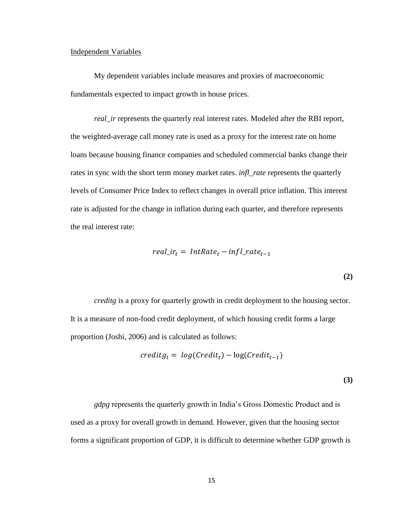## Independent Variables

My dependent variables include measures and proxies of macroeconomic fundamentals expected to impact growth in house prices.

*real\_ir* represents the quarterly real interest rates. Modeled after the RBI report, the weighted-average call money rate is used as a proxy for the interest rate on home loans because housing finance companies and scheduled commercial banks change their rates in sync with the short term money market rates. *infl\_rate* represents the quarterly levels of Consumer Price Index to reflect changes in overall price inflation. This interest rate is adjusted for the change in inflation during each quarter, and therefore represents the real interest rate:

$$
real\_ir_t = IntRate_t - infl\_rate_{t-1}
$$
\n(2)

*creditg* is a proxy for quarterly growth in credit deployment to the housing sector. It is a measure of non-food credit deployment, of which housing credit forms a large proportion (Joshi, 2006) and is calculated as follows:

$$
creditg_t = log(Credit_t) - log(Credit_{t-1})
$$

**(3)**

*gdpg* represents the quarterly growth in India's Gross Domestic Product and is used as a proxy for overall growth in demand. However, given that the housing sector forms a significant proportion of GDP, it is difficult to determine whether GDP growth is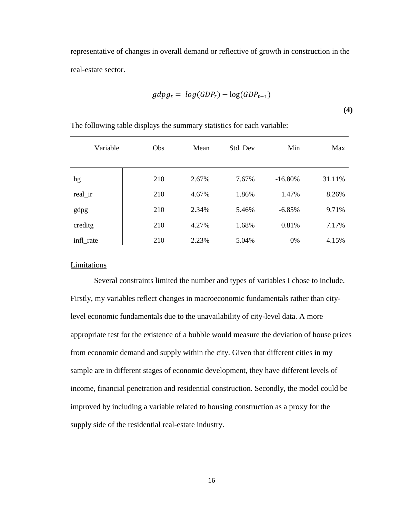representative of changes in overall demand or reflective of growth in construction in the real-estate sector.

$$
gdpg_t = log(GDP_t) - log(GDP_{t-1})
$$

**(4)**

| Variable  | Obs | Mean  | Std. Dev | Min       | Max    |
|-----------|-----|-------|----------|-----------|--------|
| hg        | 210 | 2.67% | 7.67%    | $-16.80%$ | 31.11% |
| real_ir   | 210 | 4.67% | 1.86%    | 1.47%     | 8.26%  |
| gdpg      | 210 | 2.34% | 5.46%    | $-6.85%$  | 9.71%  |
| creditg   | 210 | 4.27% | 1.68%    | 0.81%     | 7.17%  |
| infl_rate | 210 | 2.23% | 5.04%    | 0%        | 4.15%  |

The following table displays the summary statistics for each variable:

## Limitations

Several constraints limited the number and types of variables I chose to include. Firstly, my variables reflect changes in macroeconomic fundamentals rather than citylevel economic fundamentals due to the unavailability of city-level data. A more appropriate test for the existence of a bubble would measure the deviation of house prices from economic demand and supply within the city. Given that different cities in my sample are in different stages of economic development, they have different levels of income, financial penetration and residential construction. Secondly, the model could be improved by including a variable related to housing construction as a proxy for the supply side of the residential real-estate industry.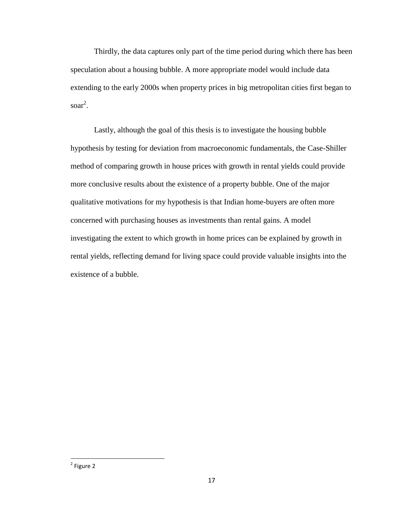Thirdly, the data captures only part of the time period during which there has been speculation about a housing bubble. A more appropriate model would include data extending to the early 2000s when property prices in big metropolitan cities first began to soar 2 .

Lastly, although the goal of this thesis is to investigate the housing bubble hypothesis by testing for deviation from macroeconomic fundamentals, the Case-Shiller method of comparing growth in house prices with growth in rental yields could provide more conclusive results about the existence of a property bubble. One of the major qualitative motivations for my hypothesis is that Indian home-buyers are often more concerned with purchasing houses as investments than rental gains. A model investigating the extent to which growth in home prices can be explained by growth in rental yields, reflecting demand for living space could provide valuable insights into the existence of a bubble.

 $\overline{\phantom{a}}$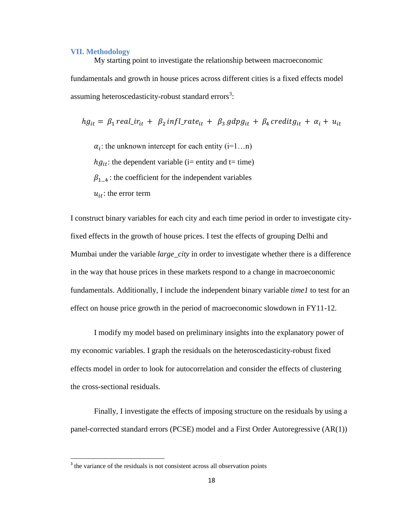#### <span id="page-20-0"></span>**VII. Methodology**

My starting point to investigate the relationship between macroeconomic fundamentals and growth in house prices across different cities is a fixed effects model assuming heteroscedasticity-robust standard errors<sup>3</sup>:

$$
hg_{it} = \beta_1 \text{ real\_ir}_{it} + \beta_2 \text{ infl\_rate}_{it} + \beta_3 \text{ gdp}g_{it} + \beta_4 \text{ credit}g_{it} + \alpha_i + u_{it}
$$

 $\alpha_i$ : the unknown intercept for each entity (i=1...n)

 $hg_{it}$ : the dependent variable (i= entity and t= time)

 $\beta_{1,4}$ : the coefficient for the independent variables

 $u_{it}$ : the error term

I construct binary variables for each city and each time period in order to investigate cityfixed effects in the growth of house prices. I test the effects of grouping Delhi and Mumbai under the variable *large\_city* in order to investigate whether there is a difference in the way that house prices in these markets respond to a change in macroeconomic fundamentals. Additionally, I include the independent binary variable *time1* to test for an effect on house price growth in the period of macroeconomic slowdown in FY11-12.

I modify my model based on preliminary insights into the explanatory power of my economic variables. I graph the residuals on the heteroscedasticity-robust fixed effects model in order to look for autocorrelation and consider the effects of clustering the cross-sectional residuals.

Finally, I investigate the effects of imposing structure on the residuals by using a panel-corrected standard errors (PCSE) model and a First Order Autoregressive (AR(1))

 $\overline{\phantom{a}}$ 

<sup>&</sup>lt;sup>3</sup> the variance of the residuals is not consistent across all observation points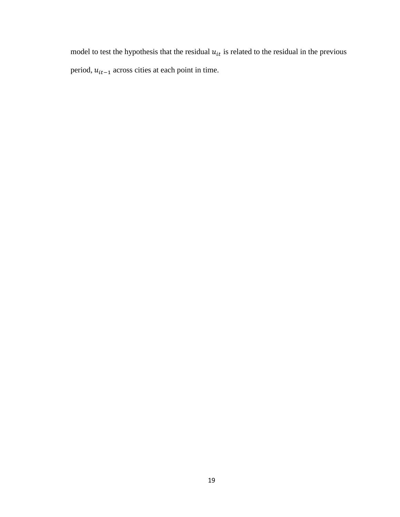model to test the hypothesis that the residual  $u_{it}$  is related to the residual in the previous period,  $u_{it-1}$  across cities at each point in time.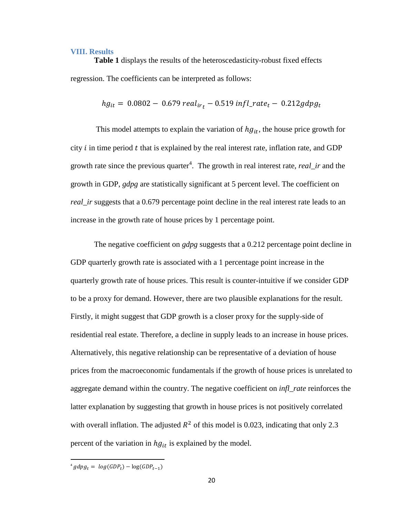## <span id="page-22-0"></span>**VIII. Results**

**Table 1** displays the results of the heteroscedasticity-robust fixed effects regression. The coefficients can be interpreted as follows:

$$
hg_{it} = 0.0802 - 0.679 \, real_{ir} - 0.519 \, infl\_rate_t - 0.212 \, gdpg_t
$$

This model attempts to explain the variation of  $hg_{it}$ , the house price growth for city  $i$  in time period  $t$  that is explained by the real interest rate, inflation rate, and GDP growth rate since the previous quarter<sup>4</sup>. The growth in real interest rate, *real\_ir* and the growth in GDP, *gdpg* are statistically significant at 5 percent level. The coefficient on *real\_ir* suggests that a 0.679 percentage point decline in the real interest rate leads to an increase in the growth rate of house prices by 1 percentage point.

The negative coefficient on *gdpg* suggests that a 0.212 percentage point decline in GDP quarterly growth rate is associated with a 1 percentage point increase in the quarterly growth rate of house prices. This result is counter-intuitive if we consider GDP to be a proxy for demand. However, there are two plausible explanations for the result. Firstly, it might suggest that GDP growth is a closer proxy for the supply-side of residential real estate. Therefore, a decline in supply leads to an increase in house prices. Alternatively, this negative relationship can be representative of a deviation of house prices from the macroeconomic fundamentals if the growth of house prices is unrelated to aggregate demand within the country. The negative coefficient on *infl\_rate* reinforces the latter explanation by suggesting that growth in house prices is not positively correlated with overall inflation. The adjusted  $R^2$  of this model is 0.023, indicating that only 2.3 percent of the variation in  $hg_{it}$  is explained by the model.

 $\overline{\phantom{a}}$ 

 $\displaystyle ^{4}$   $g$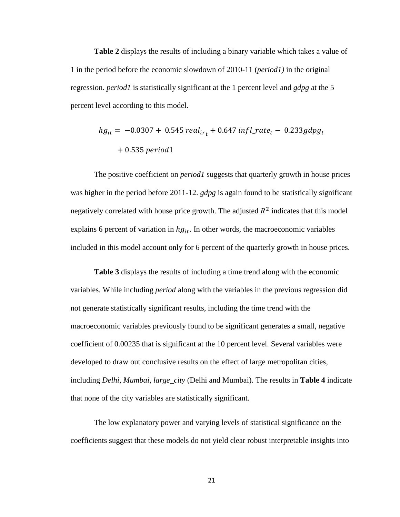**Table 2** displays the results of including a binary variable which takes a value of 1 in the period before the economic slowdown of 2010-11 (*period1)* in the original regression. *period1* is statistically significant at the 1 percent level and *gdpg* at the 5 percent level according to this model.

$$
hg_{it} = -0.0307 + 0.545 \, real_{ir_t} + 0.647 \, infl\_rate_t - 0.233 gdpg_t
$$

$$
+ 0.535 \, period1
$$

The positive coefficient on *period1* suggests that quarterly growth in house prices was higher in the period before 2011-12. *gdpg* is again found to be statistically significant negatively correlated with house price growth. The adjusted  $R^2$  indicates that this model explains 6 percent of variation in  $hg_{it}$ . In other words, the macroeconomic variables included in this model account only for 6 percent of the quarterly growth in house prices.

**Table 3** displays the results of including a time trend along with the economic variables. While including *period* along with the variables in the previous regression did not generate statistically significant results, including the time trend with the macroeconomic variables previously found to be significant generates a small, negative coefficient of 0.00235 that is significant at the 10 percent level. Several variables were developed to draw out conclusive results on the effect of large metropolitan cities, including *Delhi, Mumbai, large\_city* (Delhi and Mumbai). The results in **Table 4** indicate that none of the city variables are statistically significant.

The low explanatory power and varying levels of statistical significance on the coefficients suggest that these models do not yield clear robust interpretable insights into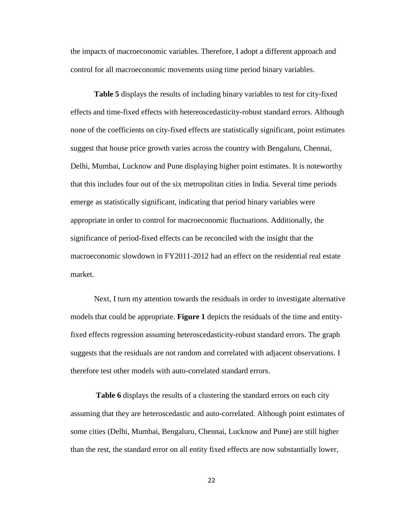the impacts of macroeconomic variables. Therefore, I adopt a different approach and control for all macroeconomic movements using time period binary variables.

**Table 5** displays the results of including binary variables to test for city-fixed effects and time-fixed effects with hetereoscedasticity-robust standard errors. Although none of the coefficients on city-fixed effects are statistically significant, point estimates suggest that house price growth varies across the country with Bengaluru, Chennai, Delhi, Mumbai, Lucknow and Pune displaying higher point estimates. It is noteworthy that this includes four out of the six metropolitan cities in India. Several time periods emerge as statistically significant, indicating that period binary variables were appropriate in order to control for macroeconomic fluctuations. Additionally, the significance of period-fixed effects can be reconciled with the insight that the macroeconomic slowdown in FY2011-2012 had an effect on the residential real estate market.

Next, I turn my attention towards the residuals in order to investigate alternative models that could be appropriate. **Figure 1** depicts the residuals of the time and entityfixed effects regression assuming heteroscedasticity-robust standard errors. The graph suggests that the residuals are not random and correlated with adjacent observations. I therefore test other models with auto-correlated standard errors.

Table 6 displays the results of a clustering the standard errors on each city assuming that they are heteroscedastic and auto-correlated. Although point estimates of some cities (Delhi, Mumbai, Bengaluru, Chennai, Lucknow and Pune) are still higher than the rest, the standard error on all entity fixed effects are now substantially lower,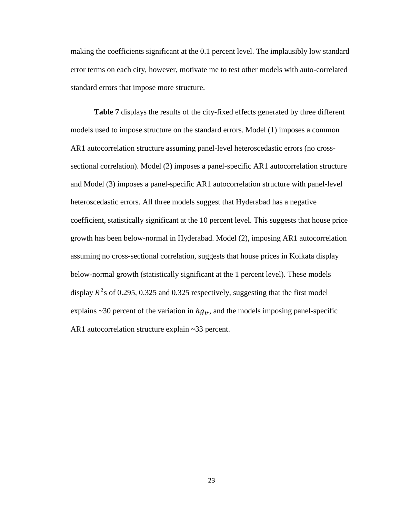making the coefficients significant at the 0.1 percent level. The implausibly low standard error terms on each city, however, motivate me to test other models with auto-correlated standard errors that impose more structure.

**Table 7** displays the results of the city-fixed effects generated by three different models used to impose structure on the standard errors. Model (1) imposes a common AR1 autocorrelation structure assuming panel-level heteroscedastic errors (no crosssectional correlation). Model (2) imposes a panel-specific AR1 autocorrelation structure and Model (3) imposes a panel-specific AR1 autocorrelation structure with panel-level heteroscedastic errors. All three models suggest that Hyderabad has a negative coefficient, statistically significant at the 10 percent level. This suggests that house price growth has been below-normal in Hyderabad. Model (2), imposing AR1 autocorrelation assuming no cross-sectional correlation, suggests that house prices in Kolkata display below-normal growth (statistically significant at the 1 percent level). These models display  $R^2$ s of 0.295, 0.325 and 0.325 respectively, suggesting that the first model explains  $\sim$  30 percent of the variation in  $hg_{it}$ , and the models imposing panel-specific AR1 autocorrelation structure explain ~33 percent.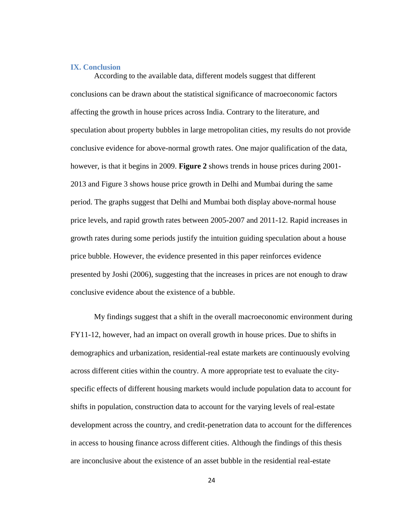#### <span id="page-26-0"></span>**IX. Conclusion**

According to the available data, different models suggest that different conclusions can be drawn about the statistical significance of macroeconomic factors affecting the growth in house prices across India. Contrary to the literature, and speculation about property bubbles in large metropolitan cities, my results do not provide conclusive evidence for above-normal growth rates. One major qualification of the data, however, is that it begins in 2009. **Figure 2** shows trends in house prices during 2001- 2013 and Figure 3 shows house price growth in Delhi and Mumbai during the same period. The graphs suggest that Delhi and Mumbai both display above-normal house price levels, and rapid growth rates between 2005-2007 and 2011-12. Rapid increases in growth rates during some periods justify the intuition guiding speculation about a house price bubble. However, the evidence presented in this paper reinforces evidence presented by Joshi (2006), suggesting that the increases in prices are not enough to draw conclusive evidence about the existence of a bubble.

My findings suggest that a shift in the overall macroeconomic environment during FY11-12, however, had an impact on overall growth in house prices. Due to shifts in demographics and urbanization, residential-real estate markets are continuously evolving across different cities within the country. A more appropriate test to evaluate the cityspecific effects of different housing markets would include population data to account for shifts in population, construction data to account for the varying levels of real-estate development across the country, and credit-penetration data to account for the differences in access to housing finance across different cities. Although the findings of this thesis are inconclusive about the existence of an asset bubble in the residential real-estate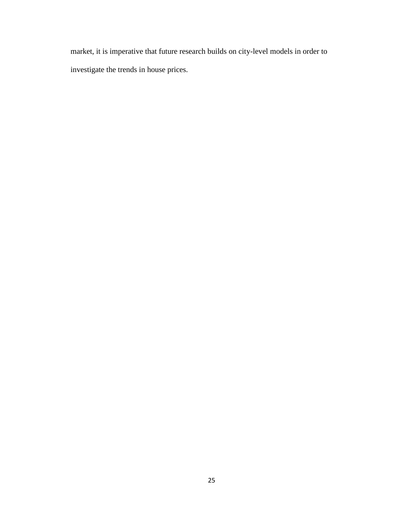market, it is imperative that future research builds on city-level models in order to investigate the trends in house prices.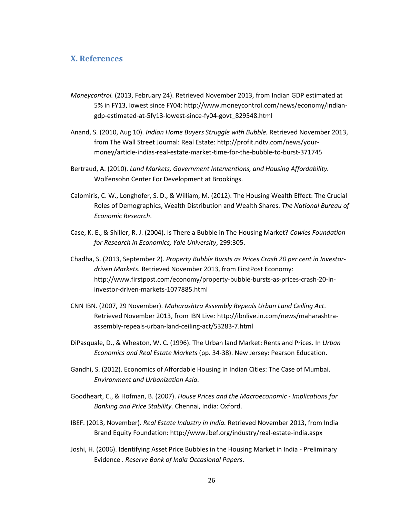## <span id="page-28-0"></span>**X. References**

- *Moneycontrol.* (2013, February 24). Retrieved November 2013, from Indian GDP estimated at 5% in FY13, lowest since FY04: http://www.moneycontrol.com/news/economy/indiangdp-estimated-at-5fy13-lowest-since-fy04-govt\_829548.html
- Anand, S. (2010, Aug 10). *Indian Home Buyers Struggle with Bubble.* Retrieved November 2013, from The Wall Street Journal: Real Estate: http://profit.ndtv.com/news/yourmoney/article-indias-real-estate-market-time-for-the-bubble-to-burst-371745
- Bertraud, A. (2010). *Land Markets, Government Interventions, and Housing Affordability.* Wolfensohn Center For Development at Brookings.
- Calomiris, C. W., Longhofer, S. D., & William, M. (2012). The Housing Wealth Effect: The Crucial Roles of Demographics, Wealth Distribution and Wealth Shares. *The National Bureau of Economic Research*.
- Case, K. E., & Shiller, R. J. (2004). Is There a Bubble in The Housing Market? *Cowles Foundation for Research in Economics, Yale University*, 299:305.
- Chadha, S. (2013, September 2). *Property Bubble Bursts as Prices Crash 20 per cent in Investordriven Markets.* Retrieved November 2013, from FirstPost Economy: http://www.firstpost.com/economy/property-bubble-bursts-as-prices-crash-20-ininvestor-driven-markets-1077885.html
- CNN IBN. (2007, 29 November). *Maharashtra Assembly Repeals Urban Land Ceiling Act*. Retrieved November 2013, from IBN Live: http://ibnlive.in.com/news/maharashtraassembly-repeals-urban-land-ceiling-act/53283-7.html
- DiPasquale, D., & Wheaton, W. C. (1996). The Urban land Market: Rents and Prices. In *Urban Economics and Real Estate Markets* (pp. 34-38). New Jersey: Pearson Education.
- Gandhi, S. (2012). Economics of Affordable Housing in Indian Cities: The Case of Mumbai. *Environment and Urbanization Asia*.
- Goodheart, C., & Hofman, B. (2007). *House Prices and the Macroeconomic - Implications for Banking and Price Stability.* Chennai, India: Oxford.
- IBEF. (2013, November). *Real Estate Industry in India.* Retrieved November 2013, from India Brand Equity Foundation: http://www.ibef.org/industry/real-estate-india.aspx
- Joshi, H. (2006). Identifying Asset Price Bubbles in the Housing Market in India Preliminary Evidence . *Reserve Bank of India Occasional Papers*.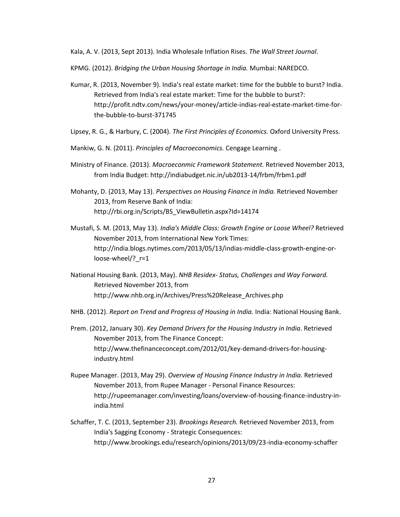Kala, A. V. (2013, Sept 2013). India Wholesale Inflation Rises. *The Wall Street Journal*.

KPMG. (2012). *Bridging the Urban Housing Shortage in India.* Mumbai: NAREDCO.

- Kumar, R. (2013, November 9). India's real estate market: time for the bubble to burst? India. Retrieved from India's real estate market: Time for the bubble to burst?: http://profit.ndtv.com/news/your-money/article-indias-real-estate-market-time-forthe-bubble-to-burst-371745
- Lipsey, R. G., & Harbury, C. (2004). *The First Principles of Economics.* Oxford University Press.
- Mankiw, G. N. (2011). *Principles of Macroeconomics.* Cengage Learning .
- Ministry of Finance. (2013). *Macroeconmic Framework Statement.* Retrieved November 2013, from India Budget: http://indiabudget.nic.in/ub2013-14/frbm/frbm1.pdf
- Mohanty, D. (2013, May 13). *Perspectives on Housing Finance in India.* Retrieved November 2013, from Reserve Bank of India: http://rbi.org.in/Scripts/BS\_ViewBulletin.aspx?Id=14174
- Mustafi, S. M. (2013, May 13). *India's Middle Class: Growth Engine or Loose Wheel?* Retrieved November 2013, from International New York Times: http://india.blogs.nytimes.com/2013/05/13/indias-middle-class-growth-engine-orloose-wheel/?\_r=1
- National Housing Bank. (2013, May). *NHB Residex- Status, Challenges and Way Forward.* Retrieved November 2013, from http://www.nhb.org.in/Archives/Press%20Release\_Archives.php
- NHB. (2012). *Report on Trend and Progress of Housing in India.* India: National Housing Bank.
- Prem. (2012, January 30). *Key Demand Drivers for the Housing Industry in India*. Retrieved November 2013, from The Finance Concept: http://www.thefinanceconcept.com/2012/01/key-demand-drivers-for-housingindustry.html
- Rupee Manager. (2013, May 29). *Overview of Housing Finance Industry in India*. Retrieved November 2013, from Rupee Manager - Personal Finance Resources: http://rupeemanager.com/investing/loans/overview-of-housing-finance-industry-inindia.html
- Schaffer, T. C. (2013, September 23). *Brookings Research.* Retrieved November 2013, from India's Sagging Economy - Strategic Consequences: http://www.brookings.edu/research/opinions/2013/09/23-india-economy-schaffer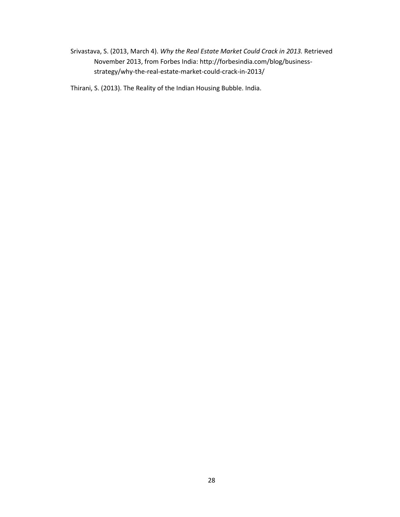Srivastava, S. (2013, March 4). *Why the Real Estate Market Could Crack in 2013.* Retrieved November 2013, from Forbes India: http://forbesindia.com/blog/businessstrategy/why-the-real-estate-market-could-crack-in-2013/

Thirani, S. (2013). The Reality of the Indian Housing Bubble. India.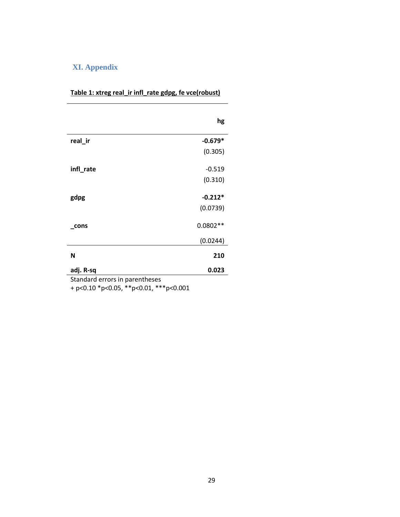# <span id="page-31-0"></span>**XI. Appendix**

|           | hg         |
|-----------|------------|
| real_ir   | $-0.679*$  |
|           | (0.305)    |
| infl_rate | $-0.519$   |
|           | (0.310)    |
| gdpg      | $-0.212*$  |
|           | (0.0739)   |
| cons      | $0.0802**$ |
|           | (0.0244)   |
| N         | 210        |
| adj. R-sq | 0.023      |

# **Table 1: xtreg real\_ir infl\_rate gdpg, fe vce(robust)**

Standard errors in parentheses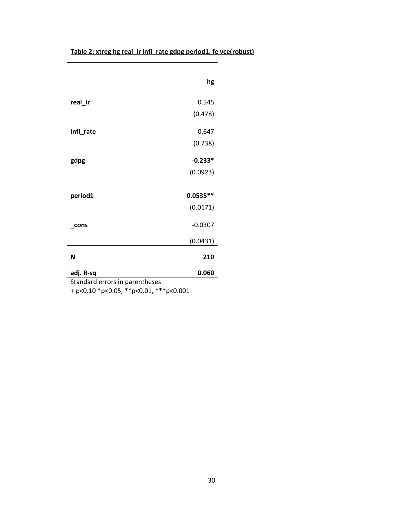| Table 2: xtreg hg real_ir infl_rate gdpg period1, fe vce(robust) |  |
|------------------------------------------------------------------|--|
|------------------------------------------------------------------|--|

|           | hg         |
|-----------|------------|
| real_ir   | 0.545      |
|           | (0.478)    |
| infl_rate | 0.647      |
|           | (0.738)    |
| gdpg      | $-0.233*$  |
|           | (0.0923)   |
| period1   | $0.0535**$ |
|           | (0.0171)   |
| cons      | $-0.0307$  |
|           | (0.0431)   |
| N         | 210        |
|           |            |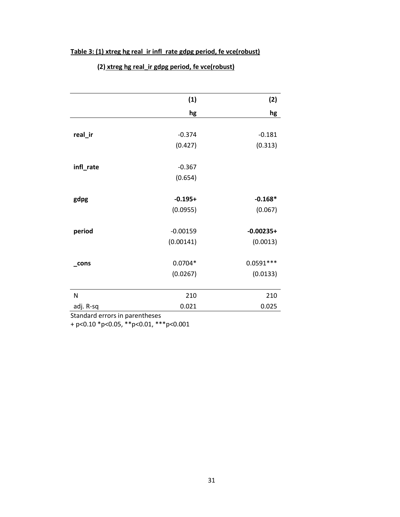# **Table 3: (1) xtreg hg real\_ir infl\_rate gdpg period, fe vce(robust)**

|                                             | (1)        | (2)         |
|---------------------------------------------|------------|-------------|
|                                             | hg         | hg          |
|                                             |            |             |
| real_ir                                     | $-0.374$   | $-0.181$    |
|                                             | (0.427)    | (0.313)     |
|                                             |            |             |
| infl_rate                                   | $-0.367$   |             |
|                                             | (0.654)    |             |
|                                             |            |             |
| gdpg                                        | $-0.195+$  | $-0.168*$   |
|                                             | (0.0955)   | (0.067)     |
|                                             |            |             |
| period                                      | $-0.00159$ | $-0.00235+$ |
|                                             | (0.00141)  | (0.0013)    |
|                                             |            |             |
| cons                                        | $0.0704*$  | $0.0591***$ |
|                                             | (0.0267)   | (0.0133)    |
|                                             |            |             |
| N                                           | 210        | 210         |
| adj. R-sq<br>Standard orrors in naronthosos | 0.021      | 0.025       |
|                                             |            |             |

 **(2) xtreg hg real\_ir gdpg period, fe vce(robust)**

Standard errors in parentheses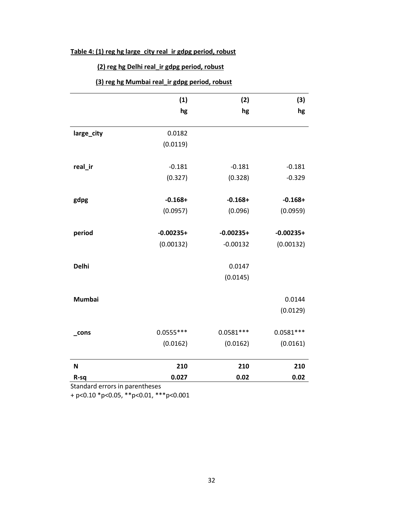# **Table 4: (1) reg hg large\_city real\_ir gdpg period, robust**

# **(2) reg hg Delhi real\_ir gdpg period, robust**

|               | (1)                     | (2)                     | (3)                     |
|---------------|-------------------------|-------------------------|-------------------------|
|               | hg                      | hg                      | hg                      |
| large_city    | 0.0182                  |                         |                         |
|               | (0.0119)                |                         |                         |
| real_ir       | $-0.181$                | $-0.181$                | $-0.181$                |
|               | (0.327)                 | (0.328)                 | $-0.329$                |
| gdpg          | $-0.168+$               | $-0.168+$               | $-0.168+$               |
|               | (0.0957)                | (0.096)                 | (0.0959)                |
| period        | $-0.00235+$             | $-0.00235+$             | $-0.00235+$             |
|               | (0.00132)               | $-0.00132$              | (0.00132)               |
| <b>Delhi</b>  |                         | 0.0147                  |                         |
|               |                         | (0.0145)                |                         |
|               |                         |                         |                         |
| <b>Mumbai</b> |                         |                         | 0.0144<br>(0.0129)      |
|               |                         |                         |                         |
| $\_cons$      | $0.0555***$<br>(0.0162) | $0.0581***$<br>(0.0162) | $0.0581***$<br>(0.0161) |
|               |                         |                         |                         |
| N             | 210                     | 210                     | 210                     |
| R-sq          | 0.027                   | 0.02                    | 0.02                    |

Standard errors in parentheses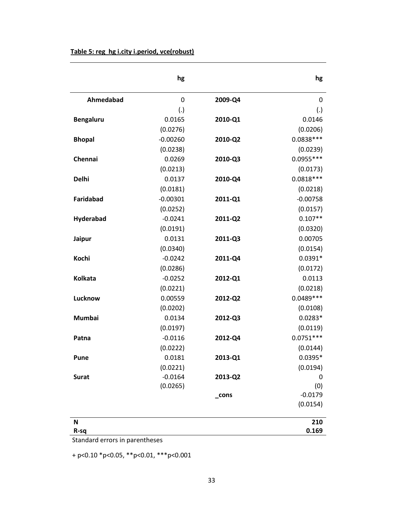|                  | hg          |         | hg          |
|------------------|-------------|---------|-------------|
| Ahmedabad        | $\mathbf 0$ | 2009-Q4 | 0           |
|                  | (.)         |         | (.)         |
| <b>Bengaluru</b> | 0.0165      | 2010-Q1 | 0.0146      |
|                  | (0.0276)    |         | (0.0206)    |
| <b>Bhopal</b>    | $-0.00260$  | 2010-Q2 | $0.0838***$ |
|                  | (0.0238)    |         | (0.0239)    |
| Chennai          | 0.0269      | 2010-Q3 | $0.0955***$ |
|                  | (0.0213)    |         | (0.0173)    |
| <b>Delhi</b>     | 0.0137      | 2010-Q4 | $0.0818***$ |
|                  | (0.0181)    |         | (0.0218)    |
| <b>Faridabad</b> | $-0.00301$  | 2011-Q1 | $-0.00758$  |
|                  | (0.0252)    |         | (0.0157)    |
| Hyderabad        | $-0.0241$   | 2011-Q2 | $0.107**$   |
|                  | (0.0191)    |         | (0.0320)    |
| Jaipur           | 0.0131      | 2011-Q3 | 0.00705     |
|                  | (0.0340)    |         | (0.0154)    |
| Kochi            | $-0.0242$   | 2011-Q4 | $0.0391*$   |
|                  | (0.0286)    |         | (0.0172)    |
| <b>Kolkata</b>   | $-0.0252$   | 2012-Q1 | 0.0113      |
|                  | (0.0221)    |         | (0.0218)    |
| Lucknow          | 0.00559     | 2012-Q2 | $0.0489***$ |
|                  | (0.0202)    |         | (0.0108)    |
| Mumbai           | 0.0134      | 2012-Q3 | $0.0283*$   |
|                  | (0.0197)    |         | (0.0119)    |
| Patna            | $-0.0116$   | 2012-Q4 | $0.0751***$ |
|                  | (0.0222)    |         | (0.0144)    |
| Pune             | 0.0181      | 2013-Q1 | $0.0395*$   |
|                  | (0.0221)    |         | (0.0194)    |
| <b>Surat</b>     | $-0.0164$   | 2013-Q2 | 0           |
|                  | (0.0265)    |         | (0)         |
|                  |             | _cons   | $-0.0179$   |
|                  |             |         | (0.0154)    |
| N                |             |         | 210         |
| R-sq             |             |         | 0.169       |

Standard errors in parentheses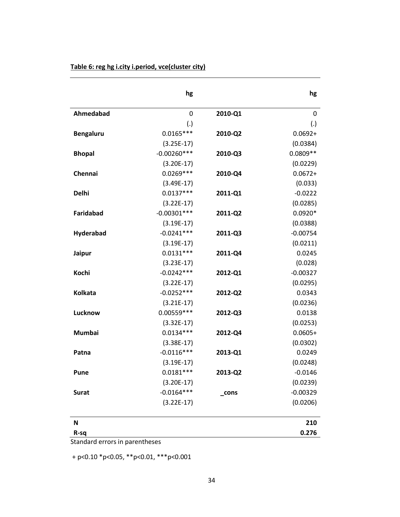|                  | hg            |         | hg         |
|------------------|---------------|---------|------------|
| Ahmedabad        | $\mathbf 0$   | 2010-Q1 | 0          |
|                  | (.)           |         | (.)        |
| <b>Bengaluru</b> | $0.0165***$   | 2010-Q2 | $0.0692 +$ |
|                  | $(3.25E-17)$  |         | (0.0384)   |
| <b>Bhopal</b>    | $-0.00260***$ | 2010-Q3 | $0.0809**$ |
|                  | $(3.20E-17)$  |         | (0.0229)   |
| Chennai          | $0.0269***$   | 2010-Q4 | $0.0672 +$ |
|                  | $(3.49E-17)$  |         | (0.033)    |
| <b>Delhi</b>     | $0.0137***$   | 2011-Q1 | $-0.0222$  |
|                  | $(3.22E-17)$  |         | (0.0285)   |
| <b>Faridabad</b> | $-0.00301***$ | 2011-Q2 | $0.0920*$  |
|                  | $(3.19E-17)$  |         | (0.0388)   |
| Hyderabad        | $-0.0241***$  | 2011-Q3 | $-0.00754$ |
|                  | $(3.19E-17)$  |         | (0.0211)   |
| Jaipur           | $0.0131***$   | 2011-Q4 | 0.0245     |
|                  | $(3.23E-17)$  |         | (0.028)    |
| Kochi            | $-0.0242***$  | 2012-Q1 | $-0.00327$ |
|                  | $(3.22E-17)$  |         | (0.0295)   |
| <b>Kolkata</b>   | $-0.0252***$  | 2012-Q2 | 0.0343     |
|                  | $(3.21E-17)$  |         | (0.0236)   |
| Lucknow          | $0.00559***$  | 2012-Q3 | 0.0138     |
|                  | $(3.32E-17)$  |         | (0.0253)   |
| <b>Mumbai</b>    | $0.0134***$   | 2012-Q4 | $0.0605+$  |
|                  | $(3.38E-17)$  |         | (0.0302)   |
| Patna            | $-0.0116***$  | 2013-Q1 | 0.0249     |
|                  | $(3.19E-17)$  |         | (0.0248)   |
| Pune             | $0.0181***$   | 2013-Q2 | $-0.0146$  |
|                  | $(3.20E-17)$  |         | (0.0239)   |
| <b>Surat</b>     | $-0.0164***$  | _cons   | $-0.00329$ |
|                  | $(3.22E-17)$  |         | (0.0206)   |
| N                |               |         | 210        |
| R-sq             |               |         | 0.276      |

Standard errors in parentheses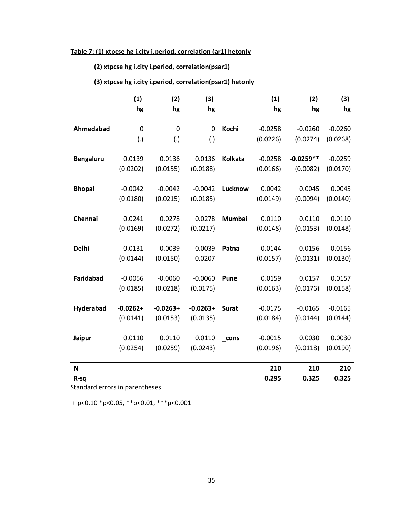# **Table 7: (1) xtpcse hg i.city i.period, correlation (ar1) hetonly**

# **(2) xtpcse hg i.city i.period, correlation(psar1)**

# **(3) xtpcse hg i.city i.period, correlation(psar1) hetonly**

|                  | (1)         | (2)         | (3)         |                    | (1)       | (2)         | (3)       |
|------------------|-------------|-------------|-------------|--------------------|-----------|-------------|-----------|
|                  | hg          | hg          | hg          |                    | hg        | hg          | hg        |
| Ahmedabad        | $\mathbf 0$ | $\mathbf 0$ | $\mathbf 0$ | Kochi              | $-0.0258$ | $-0.0260$   | $-0.0260$ |
|                  | (.)         | (.)         | (.)         |                    | (0.0226)  | (0.0274)    | (0.0268)  |
| <b>Bengaluru</b> | 0.0139      | 0.0136      | 0.0136      | Kolkata            | $-0.0258$ | $-0.0259**$ | $-0.0259$ |
|                  | (0.0202)    | (0.0155)    | (0.0188)    |                    | (0.0166)  | (0.0082)    | (0.0170)  |
| <b>Bhopal</b>    | $-0.0042$   | $-0.0042$   | $-0.0042$   | Lucknow            | 0.0042    | 0.0045      | 0.0045    |
|                  | (0.0180)    | (0.0215)    | (0.0185)    |                    | (0.0149)  | (0.0094)    | (0.0140)  |
| Chennai          | 0.0241      | 0.0278      | 0.0278      | <b>Mumbai</b>      | 0.0110    | 0.0110      | 0.0110    |
|                  | (0.0169)    | (0.0272)    | (0.0217)    |                    | (0.0148)  | (0.0153)    | (0.0148)  |
| <b>Delhi</b>     | 0.0131      | 0.0039      | 0.0039      | Patna              | $-0.0144$ | $-0.0156$   | $-0.0156$ |
|                  | (0.0144)    | (0.0150)    | $-0.0207$   |                    | (0.0157)  | (0.0131)    | (0.0130)  |
| <b>Faridabad</b> | $-0.0056$   | $-0.0060$   | $-0.0060$   | <b>Pune</b>        | 0.0159    | 0.0157      | 0.0157    |
|                  | (0.0185)    | (0.0218)    | (0.0175)    |                    | (0.0163)  | (0.0176)    | (0.0158)  |
| Hyderabad        | $-0.0262+$  | $-0.0263+$  | $-0.0263+$  | <b>Surat</b>       | $-0.0175$ | $-0.0165$   | $-0.0165$ |
|                  | (0.0141)    | (0.0153)    | (0.0135)    |                    | (0.0184)  | (0.0144)    | (0.0144)  |
| Jaipur           | 0.0110      | 0.0110      | 0.0110      | $_{\mathsf{cons}}$ | $-0.0015$ | 0.0030      | 0.0030    |
|                  | (0.0254)    | (0.0259)    | (0.0243)    |                    | (0.0196)  | (0.0118)    | (0.0190)  |
| N                |             |             |             |                    | 210       | 210         | 210       |
| R-sq             |             |             |             |                    | 0.295     | 0.325       | 0.325     |

Standard errors in parentheses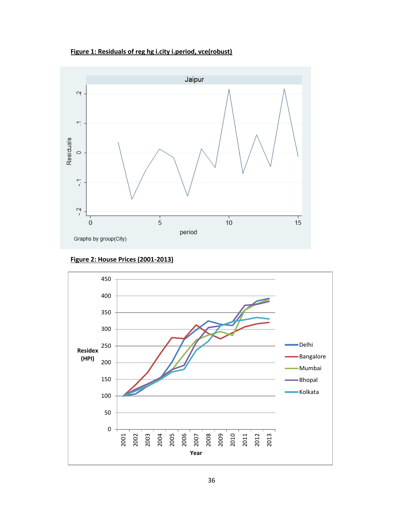**Figure 1: Residuals of reg hg i.city i.period, vce(robust)**



**Figure 2: House Prices (2001-2013)**